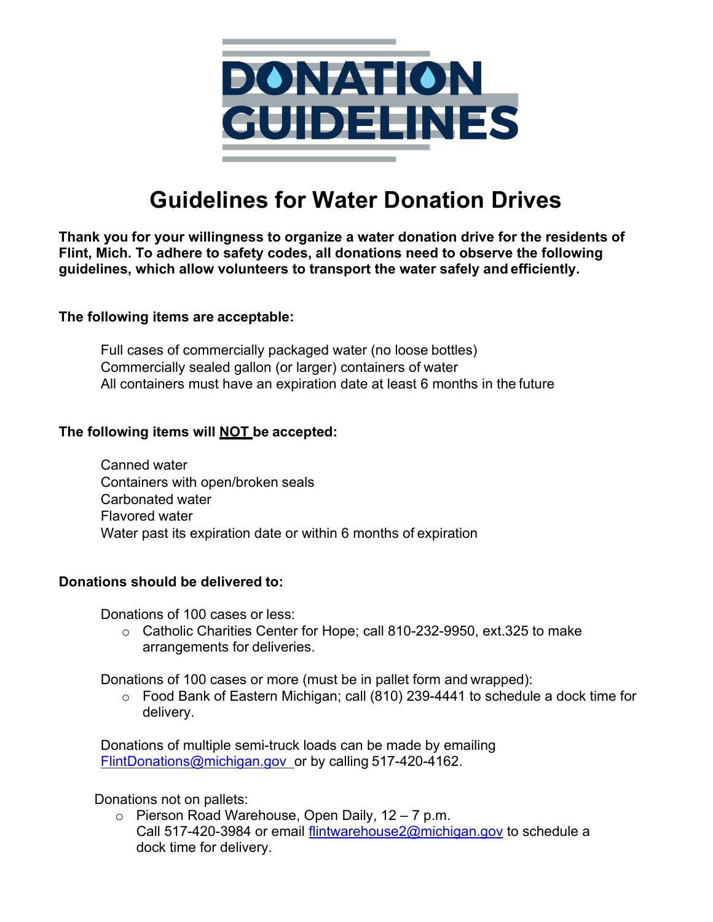

# **Guidelines for Water Donation Drives**

**Thank you for your willingness to organize a water donation drive for the residents of Flint, Mich. To adhere to safety codes, all donations need to observe the following guidelines, which allow volunteers to transport the water safely and efficiently.**

#### **The following items are acceptable:**

 Full cases of commercially packaged water (no loose bottles) Commercially sealed gallon (or larger) containers of water All containers must have an expiration date at least 6 months in the future

#### **The following items will NOT be accepted:**

 Canned water Containers with open/broken seals Carbonated water Flavored water Water past its expiration date or within 6 months of expiration

### **Donations should be delivered to:**

Donations of 100 cases or less:

 $\circ$  Catholic Charities Center for Hope; call 810-232-9950, ext.325 to make arrangements for deliveries.

Donations of 100 cases or more (must be in pallet form and wrapped):

 $\circ$  Food Bank of Eastern Michigan; call (810) 239-4441 to schedule a dock time for delivery.

 Donations of multiple semi-truck loads can be made by emailing FlintDonations@michigan.gov or by calling 517-420-4162.

Donations not on pallets:

 $\circ$  Pierson Road Warehouse, Open Daily, 12 – 7 p.m. Call 517-420-3984 or email flintwarehouse2@michigan.gov to schedule a dock time for delivery.